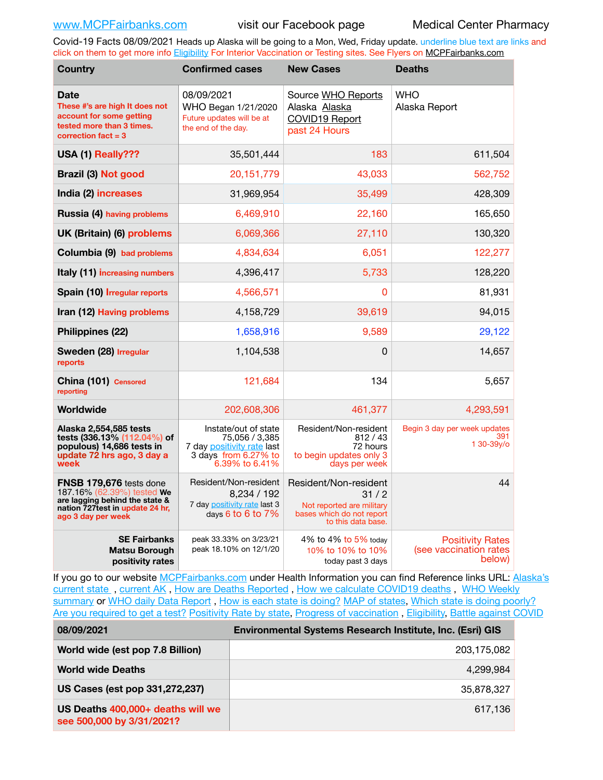Covid-19 Facts 08/09/2021 Heads up Alaska will be going to a Mon, Wed, Friday update. underline blue text are links and click on them to get more info [Eligibility](http://dhss.alaska.gov/dph/Epi/id/Pages/COVID-19/VaccineAvailability.aspx) For Interior Vaccination or Testing sites. See Flyers on [MCPFairbanks.com](http://www.MCPFairbanks.com)

| <b>Country</b>                                                                                                                                    | <b>Confirmed cases</b>                                                                                         | <b>New Cases</b>                                                                                              | <b>Deaths</b>                                               |
|---------------------------------------------------------------------------------------------------------------------------------------------------|----------------------------------------------------------------------------------------------------------------|---------------------------------------------------------------------------------------------------------------|-------------------------------------------------------------|
| <b>Date</b><br>These #'s are high It does not<br>account for some getting<br>tested more than 3 times.<br>correction $fact = 3$                   | 08/09/2021<br>WHO Began 1/21/2020<br>Future updates will be at<br>the end of the day.                          | Source WHO Reports<br>Alaska Alaska<br>COVID19 Report<br>past 24 Hours                                        | <b>WHO</b><br>Alaska Report                                 |
| USA (1) Really???                                                                                                                                 | 35,501,444                                                                                                     | 183                                                                                                           | 611,504                                                     |
| <b>Brazil (3) Not good</b>                                                                                                                        | 20,151,779                                                                                                     | 43,033                                                                                                        | 562,752                                                     |
| India (2) increases                                                                                                                               | 31,969,954                                                                                                     | 35,499                                                                                                        | 428,309                                                     |
| <b>Russia (4) having problems</b>                                                                                                                 | 6,469,910                                                                                                      | 22,160                                                                                                        | 165,650                                                     |
| UK (Britain) (6) problems                                                                                                                         | 6,069,366                                                                                                      | 27,110                                                                                                        | 130,320                                                     |
| Columbia (9) bad problems                                                                                                                         | 4,834,634                                                                                                      | 6,051                                                                                                         | 122,277                                                     |
| Italy (11) increasing numbers                                                                                                                     | 4,396,417                                                                                                      | 5,733                                                                                                         | 128,220                                                     |
| Spain (10) Irregular reports                                                                                                                      | 4,566,571                                                                                                      | 0                                                                                                             | 81,931                                                      |
| Iran (12) Having problems                                                                                                                         | 4,158,729                                                                                                      | 39,619                                                                                                        | 94,015                                                      |
| Philippines (22)                                                                                                                                  | 1,658,916                                                                                                      | 9,589                                                                                                         | 29,122                                                      |
| Sweden (28) Irregular<br>reports                                                                                                                  | 1,104,538                                                                                                      | 0                                                                                                             | 14,657                                                      |
| China (101) Censored<br>reporting                                                                                                                 | 121,684                                                                                                        | 134                                                                                                           | 5,657                                                       |
| Worldwide                                                                                                                                         | 202,608,306                                                                                                    | 461,377                                                                                                       | 4,293,591                                                   |
| Alaska 2,554,585 tests<br>tests (336.13% (112.04%) of<br>populous) 14,686 tests in<br>update 72 hrs ago, 3 day a<br>week                          | Instate/out of state<br>75,056 / 3,385<br>7 day positivity rate last<br>3 days from 6.27% to<br>6.39% to 6.41% | Resident/Non-resident<br>812/43<br>72 hours<br>to begin updates only 3<br>days per week                       | Begin 3 day per week updates<br>391<br>1 30-39y/o           |
| FNSB 179,676 tests done<br>187.16% (62.39%) tested We<br>are lagging behind the state &<br>nation 727 test in update 24 hr.<br>ago 3 day per week | Resident/Non-resident<br>8,234 / 192<br>7 day positivity rate last 3<br>days 6 to 6 to 7%                      | Resident/Non-resident<br>31/2<br>Not reported are military<br>bases which do not report<br>to this data base. | 44                                                          |
| <b>SE Fairbanks</b><br>Matsu Borough<br>positivity rates                                                                                          | peak 33.33% on 3/23/21<br>peak 18.10% on 12/1/20                                                               | 4% to 4% to 5% today<br>10% to 10% to 10%<br>today past 3 days                                                | <b>Positivity Rates</b><br>(see vaccination rates<br>below) |

If you go to our website [MCPFairbanks.com](http://www.MCPFairbanks.com) under Health Information you can find Reference links URL: Alaska's current state, current AK, [How are Deaths Reported](http://dhss.alaska.gov/dph/Epi/id/Pages/COVID-19/deathcounts.aspx), [How we calculate COVID19 deaths](https://coronavirus-response-alaska-dhss.hub.arcgis.com/search?collection=Document&groupIds=41ccb3344ebc4bd682c74073eba21f42), WHO Weekly [summary](http://www.who.int) or [WHO daily Data Report](https://covid19.who.int/table), [How is each state is doing?](https://www.msn.com/en-us/news/us/state-by-state-coronavirus-news/ar-BB13E1PX?fbclid=IwAR0_OBJH7lSyTN3ug_MsOeFnNgB1orTa9OBgilKJ7dhnwlVvHEsptuKkj1c) [MAP of states,](https://www.nationalgeographic.com/science/graphics/graphic-tracking-coronavirus-infections-us?cmpid=org=ngp::mc=crm-email::src=ngp::cmp=editorial::add=SpecialEdition_20210305&rid=B9A6DF5992658E8E35CE023113CFEA4C) [Which state is doing poorly?](https://bestlifeonline.com/covid-outbreak-your-state/?utm_source=nsltr&utm_medium=email&utm_content=covid-outbreak-your-state&utm_campaign=launch) [Are you required to get a test?](http://dhss.alaska.gov/dph/Epi/id/SiteAssets/Pages/HumanCoV/Whattodoafteryourtest.pdf) [Positivity Rate by state](https://coronavirus.jhu.edu/testing/individual-states/alaska), [Progress of vaccination](https://covid.cdc.gov/covid-data-tracker/#vaccinations) , [Eligibility,](http://dhss.alaska.gov/dph/Epi/id/Pages/COVID-19/VaccineAvailability.aspx) [Battle against COVID](https://www.nationalgeographic.com/science/graphics/graphic-tracking-coronavirus-infections-us?cmpid=org=ngp::mc=crm-email::src=ngp::cmp=editorial::add=SpecialEdition_20210219&rid=B9A6DF5992658E8E35CE023113CFEA4C)

| 08/09/2021                                                     | Environmental Systems Research Institute, Inc. (Esri) GIS |  |
|----------------------------------------------------------------|-----------------------------------------------------------|--|
| World wide (est pop 7.8 Billion)                               | 203,175,082                                               |  |
| <b>World wide Deaths</b>                                       | 4.299.984                                                 |  |
| US Cases (est pop 331,272,237)                                 | 35,878,327                                                |  |
| US Deaths 400,000+ deaths will we<br>see 500,000 by 3/31/2021? | 617.136                                                   |  |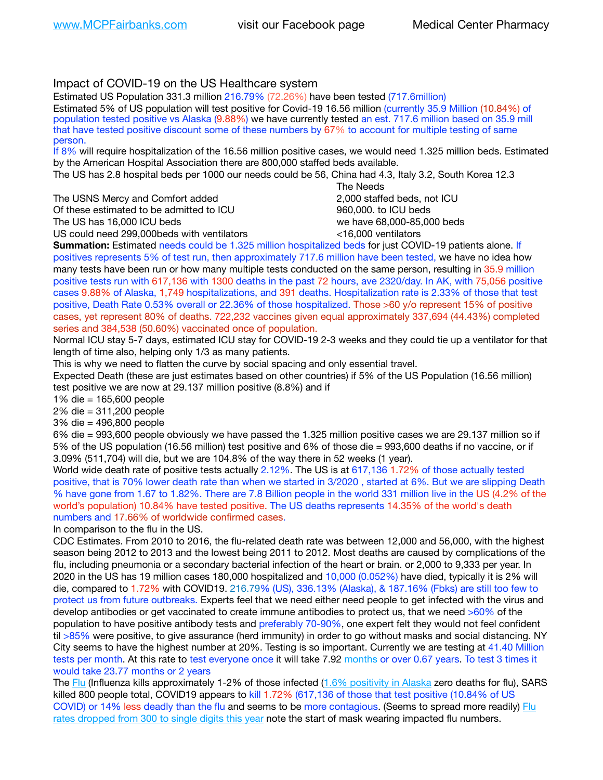# Impact of COVID-19 on the US Healthcare system

Estimated US Population 331.3 million 216.79% (72.26%) have been tested (717.6million) Estimated 5% of US population will test positive for Covid-19 16.56 million (currently 35.9 Million (10.84%) of population tested positive vs Alaska (9.88%) we have currently tested an est. 717.6 million based on 35.9 mill that have tested positive discount some of these numbers by 67% to account for multiple testing of same person.

If 8% will require hospitalization of the 16.56 million positive cases, we would need 1.325 million beds. Estimated by the American Hospital Association there are 800,000 staffed beds available.

The US has 2.8 hospital beds per 1000 our needs could be 56, China had 4.3, Italy 3.2, South Korea 12.3

The USNS Mercy and Comfort added 2,000 staffed beds, not ICU Of these estimated to be admitted to ICU 860,000. to ICU beds The US has 16,000 ICU beds we have 68,000-85,000 beds ve have 68,000-85,000 beds

US could need 299,000 beds with ventilators  $\leq$ 16,000 ventilators

 The Needs

**Summation:** Estimated needs could be 1.325 million hospitalized beds for just COVID-19 patients alone. If positives represents 5% of test run, then approximately 717.6 million have been tested, we have no idea how many tests have been run or how many multiple tests conducted on the same person, resulting in 35.9 million positive tests run with 617,136 with 1300 deaths in the past 72 hours, ave 2320/day. In AK, with 75,056 positive cases 9.88% of Alaska, 1,749 hospitalizations, and 391 deaths. Hospitalization rate is 2.33% of those that test positive, Death Rate 0.53% overall or 22.36% of those hospitalized. Those >60 y/o represent 15% of positive cases, yet represent 80% of deaths. 722,232 vaccines given equal approximately 337,694 (44.43%) completed series and 384,538 (50.60%) vaccinated once of population.

Normal ICU stay 5-7 days, estimated ICU stay for COVID-19 2-3 weeks and they could tie up a ventilator for that length of time also, helping only 1/3 as many patients.

This is why we need to flatten the curve by social spacing and only essential travel.

Expected Death (these are just estimates based on other countries) if 5% of the US Population (16.56 million) test positive we are now at 29.137 million positive (8.8%) and if

1% die = 165,600 people

2% die = 311,200 people

3% die = 496,800 people

6% die = 993,600 people obviously we have passed the 1.325 million positive cases we are 29.137 million so if 5% of the US population (16.56 million) test positive and 6% of those die = 993,600 deaths if no vaccine, or if 3.09% (511,704) will die, but we are 104.8% of the way there in 52 weeks (1 year).

World wide death rate of positive tests actually 2.12%. The US is at 617,136 1.72% of those actually tested positive, that is 70% lower death rate than when we started in 3/2020 , started at 6%. But we are slipping Death % have gone from 1.67 to 1.82%. There are 7.8 Billion people in the world 331 million live in the US (4.2% of the world's population) 10.84% have tested positive. The US deaths represents 14.35% of the world's death numbers and 17.66% of worldwide confirmed cases.

In comparison to the flu in the US.

CDC Estimates. From 2010 to 2016, the flu-related death rate was between 12,000 and 56,000, with the highest season being 2012 to 2013 and the lowest being 2011 to 2012. Most deaths are caused by complications of the flu, including pneumonia or a secondary bacterial infection of the heart or brain. or 2,000 to 9,333 per year. In 2020 in the US has 19 million cases 180,000 hospitalized and 10,000 (0.052%) have died, typically it is 2% will die, compared to 1.72% with COVID19. 216.79% (US), 336.13% (Alaska), & 187.16% (Fbks) are still too few to protect us from future outbreaks. Experts feel that we need either need people to get infected with the virus and develop antibodies or get vaccinated to create immune antibodies to protect us, that we need >60% of the population to have positive antibody tests and preferably 70-90%, one expert felt they would not feel confident til >85% were positive, to give assurance (herd immunity) in order to go without masks and social distancing. NY City seems to have the highest number at 20%. Testing is so important. Currently we are testing at 41.40 Million tests per month. At this rate to test everyone once it will take 7.92 months or over 0.67 years. To test 3 times it would take 23.77 months or 2 years

The [Flu](https://lnks.gd/l/eyJhbGciOiJIUzI1NiJ9.eyJidWxsZXRpbl9saW5rX2lkIjoxMDMsInVyaSI6ImJwMjpjbGljayIsImJ1bGxldGluX2lkIjoiMjAyMTAyMjYuMzYwNDA3NTEiLCJ1cmwiOiJodHRwczovL3d3dy5jZGMuZ292L2ZsdS93ZWVrbHkvb3ZlcnZpZXcuaHRtIn0.ePMA_hsZ-pTnhWSyg1gHvHWYTu2XceVOt0JejxvP1WE/s/500544915/br/98428119752-l) (Influenza kills approximately 1-2% of those infected ([1.6% positivity in Alaska](http://dhss.alaska.gov/dph/Epi/id/SiteAssets/Pages/influenza/trends/Snapshot.pdf) zero deaths for flu), SARS killed 800 people total, COVID19 appears to kill 1.72% (617,136 of those that test positive (10.84% of US COVID) or 14% less deadly than the flu and seems to be more contagious. (Seems to spread more readily) [Flu](https://lnks.gd/l/eyJhbGciOiJIUzI1NiJ9.eyJidWxsZXRpbl9saW5rX2lkIjoxMDEsInVyaSI6ImJwMjpjbGljayIsImJ1bGxldGluX2lkIjoiMjAyMTAyMjYuMzYwNDA3NTEiLCJ1cmwiOiJodHRwOi8vZGhzcy5hbGFza2EuZ292L2RwaC9FcGkvaWQvUGFnZXMvaW5mbHVlbnphL2ZsdWluZm8uYXNweCJ9.oOe3nt2fww6XpsNhb4FZfmtPfPa-irGaldpkURBJhSo/s/500544915/br/98428119752-l)  [rates dropped from 300 to single digits this year](https://lnks.gd/l/eyJhbGciOiJIUzI1NiJ9.eyJidWxsZXRpbl9saW5rX2lkIjoxMDEsInVyaSI6ImJwMjpjbGljayIsImJ1bGxldGluX2lkIjoiMjAyMTAyMjYuMzYwNDA3NTEiLCJ1cmwiOiJodHRwOi8vZGhzcy5hbGFza2EuZ292L2RwaC9FcGkvaWQvUGFnZXMvaW5mbHVlbnphL2ZsdWluZm8uYXNweCJ9.oOe3nt2fww6XpsNhb4FZfmtPfPa-irGaldpkURBJhSo/s/500544915/br/98428119752-l) note the start of mask wearing impacted flu numbers.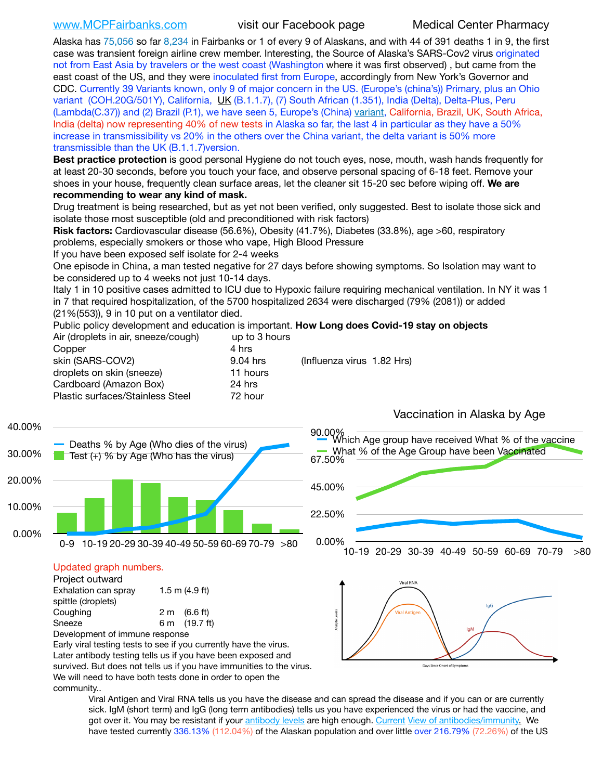[www.MCPFairbanks.com](http://www.MCPFairbanks.com) visit our Facebook page Medical Center Pharmacy

Alaska has 75,056 so far 8,234 in Fairbanks or 1 of every 9 of Alaskans, and with 44 of 391 deaths 1 in 9, the first case was transient foreign airline crew member. Interesting, the Source of Alaska's SARS-Cov2 virus originated not from East Asia by travelers or the west coast (Washington where it was first observed) , but came from the east coast of the US, and they were inoculated first from Europe, accordingly from New York's Governor and CDC. Currently 39 Variants known, only 9 of major concern in the US. (Europe's (china's)) Primary, plus an Ohio variant (COH.20G/501Y), California, [UK](https://www.cdc.gov/coronavirus/2019-ncov/transmission/variant-cases.html) (B.1.1.7), (7) South African (1.351), India (Delta), Delta-Plus, Peru (Lambda(C.37)) and (2) Brazil (P.1), we have seen 5, Europe's (China) [variant](https://www.webmd.com/lung/news/20210318/cdc-who-create-threat-levels-for-covid-variants?ecd=wnl_cvd_031921&ctr=wnl-cvd-031921&mb=kYbf7DsHb7YGjh/1RUkcAW0T6iorImAU1TDZh18RYs0=_Support_titleLink_2), California, Brazil, UK, South Africa, India (delta) now representing 40% of new tests in Alaska so far, the last 4 in particular as they have a 50% increase in transmissibility vs 20% in the others over the China variant, the delta variant is 50% more transmissible than the UK (B.1.1.7)version.

**Best practice protection** is good personal Hygiene do not touch eyes, nose, mouth, wash hands frequently for at least 20-30 seconds, before you touch your face, and observe personal spacing of 6-18 feet. Remove your shoes in your house, frequently clean surface areas, let the cleaner sit 15-20 sec before wiping off. **We are recommending to wear any kind of mask.**

Drug treatment is being researched, but as yet not been verified, only suggested. Best to isolate those sick and isolate those most susceptible (old and preconditioned with risk factors)

**Risk factors:** Cardiovascular disease (56.6%), Obesity (41.7%), Diabetes (33.8%), age >60, respiratory problems, especially smokers or those who vape, High Blood Pressure

If you have been exposed self isolate for 2-4 weeks

One episode in China, a man tested negative for 27 days before showing symptoms. So Isolation may want to be considered up to 4 weeks not just 10-14 days.

Italy 1 in 10 positive cases admitted to ICU due to Hypoxic failure requiring mechanical ventilation. In NY it was 1 in 7 that required hospitalization, of the 5700 hospitalized 2634 were discharged (79% (2081)) or added (21%(553)), 9 in 10 put on a ventilator died.

Public policy development and education is important. **How Long does Covid-19 stay on objects** Air (droplets in air, sneeze/cough) up to 3 hours

| Copper                           | 4 hrs                                  |  |
|----------------------------------|----------------------------------------|--|
|                                  |                                        |  |
| skin (SARS-COV2)                 | (Influenza virus 1.82 Hrs)<br>9.04 hrs |  |
| droplets on skin (sneeze)        | 11 hours                               |  |
| Cardboard (Amazon Box)           | 24 hrs                                 |  |
| Plastic surfaces/Stainless Steel | 72 hour                                |  |
|                                  |                                        |  |



Viral Antigen and Viral RNA tells us you have the disease and can spread the disease and if you can or are currently sick. IgM (short term) and IgG (long term antibodies) tells us you have experienced the virus or had the vaccine, and got over it. You may be resistant if your [antibody levels](https://www.cdc.gov/coronavirus/2019-ncov/lab/resources/antibody-tests.html) are high enough. [Current](https://l.facebook.com/l.php?u=https://www.itv.com/news/2020-10-26/covid-19-antibody-levels-reduce-over-time-study-finds?fbclid=IwAR3Dapzh1qIH1EIOdUQI2y8THf7jfA4KBCaJz8Qg-8xe1YsrR4nsAHDIXSY&h=AT30nut8pkqp0heVuz5W2rT2WFFm-2Ab52BsJxZZCNlGsX58IpPkuVEPULbIUV_M16MAukx1Kwb657DPXxsgDN1rpOQ4gqBtQsmVYiWpnHPJo2RQsU6CPMd14lgLnQnFWxfVi6zvmw&__tn__=-UK-R&c%5B0%5D=AT1GaRAfR_nGAyqcn7TI1-PpvqOqEKXHnz6TDWvRStMnOSH7boQDvTiwTOc6VId9UES6LKiOmm2m88wKCoolkJyOFvakt2Z1Mw8toYWGGoWW23r0MNVBl7cYJXB_UOvGklNHaNnaNr1_S7NhT3BSykNOBg) [View of antibodies/immunity](https://www.livescience.com/antibodies.html)[.](https://www.itv.com/news/2020-10-26/covid-19-antibody-levels-reduce-over-time-study-finds) We have tested currently 336.13% (112.04%) of the Alaskan population and over little over 216.79% (72.26%) of the US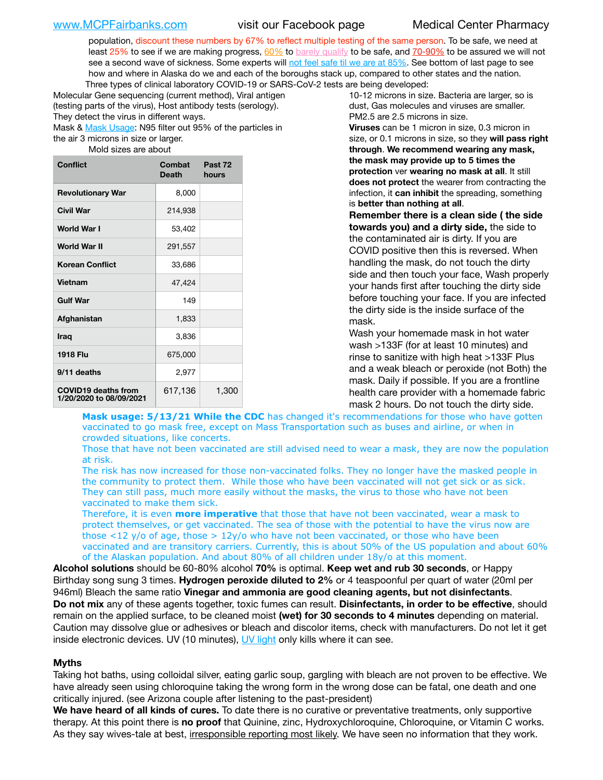population, discount these numbers by 67% to reflect multiple testing of the same person. To be safe, we need at least 25% to see if we are making progress,  $60\%$  to [barely qualify](https://www.nature.com/articles/d41586-020-02948-4) to be safe, and [70-90%](https://www.mayoclinic.org/herd-immunity-and-coronavirus/art-20486808) to be assured we will not see a second wave of sickness. Some experts will [not feel safe til we are at 85%](https://www.bannerhealth.com/healthcareblog/teach-me/what-is-herd-immunity). See bottom of last page to see how and where in Alaska do we and each of the boroughs stack up, compared to other states and the nation. Three types of clinical laboratory COVID-19 or SARS-CoV-2 tests are being developed:

Molecular Gene sequencing (current method), Viral antigen (testing parts of the virus), Host antibody tests (serology). They detect the virus in different ways.

Mask & [Mask Usage:](https://www.nationalgeographic.com/history/2020/03/how-cities-flattened-curve-1918-spanish-flu-pandemic-coronavirus/) N95 filter out 95% of the particles in the air 3 microns in size or larger.

Mold sizes are about

| Conflict                                              | Combat<br>Death | Past 72<br>hours |
|-------------------------------------------------------|-----------------|------------------|
| <b>Revolutionary War</b>                              | 8,000           |                  |
| <b>Civil War</b>                                      | 214,938         |                  |
| World War I                                           | 53,402          |                  |
| <b>World War II</b>                                   | 291,557         |                  |
| <b>Korean Conflict</b>                                | 33,686          |                  |
| <b>Vietnam</b>                                        | 47,424          |                  |
| <b>Gulf War</b>                                       | 149             |                  |
| Afghanistan                                           | 1,833           |                  |
| <b>Iraq</b>                                           | 3,836           |                  |
| <b>1918 Flu</b>                                       | 675,000         |                  |
| 9/11 deaths                                           | 2,977           |                  |
| <b>COVID19 deaths from</b><br>1/20/2020 to 08/09/2021 | 617,136         | 1,300            |

10-12 microns in size. Bacteria are larger, so is dust, Gas molecules and viruses are smaller. PM2.5 are 2.5 microns in size.

**Viruses** can be 1 micron in size, 0.3 micron in size, or 0.1 microns in size, so they **will pass right through**. **We recommend wearing any mask, the mask may provide up to 5 times the protection** ver **wearing no mask at all**. It still **does not protect** the wearer from contracting the infection, it **can inhibit** the spreading, something is **better than nothing at all**.

**Remember there is a clean side ( the side towards you) and a dirty side,** the side to the contaminated air is dirty. If you are COVID positive then this is reversed. When handling the mask, do not touch the dirty side and then touch your face, Wash properly your hands first after touching the dirty side before touching your face. If you are infected the dirty side is the inside surface of the mask.

Wash your homemade mask in hot water wash >133F (for at least 10 minutes) and rinse to sanitize with high heat >133F Plus and a weak bleach or peroxide (not Both) the mask. Daily if possible. If you are a frontline health care provider with a homemade fabric mask 2 hours. Do not touch the dirty side.

**Mask usage: 5/13/21 While the CDC** has changed it's recommendations for those who have gotten vaccinated to go mask free, except on Mass Transportation such as buses and airline, or when in crowded situations, like concerts.

Those that have not been vaccinated are still advised need to wear a mask, they are now the population at risk.

The risk has now increased for those non-vaccinated folks. They no longer have the masked people in the community to protect them. While those who have been vaccinated will not get sick or as sick. They can still pass, much more easily without the masks, the virus to those who have not been vaccinated to make them sick.

Therefore, it is even **more imperative** that those that have not been vaccinated, wear a mask to protect themselves, or get vaccinated. The sea of those with the potential to have the virus now are those <12 y/o of age, those >  $12y$ /o who have not been vaccinated, or those who have been vaccinated and are transitory carriers. Currently, this is about 50% of the US population and about 60% of the Alaskan population. And about 80% of all children under 18y/o at this moment.

**Alcohol solutions** should be 60-80% alcohol **70%** is optimal. **Keep wet and rub 30 seconds**, or Happy Birthday song sung 3 times. **Hydrogen peroxide diluted to 2%** or 4 teaspoonful per quart of water (20ml per 946ml) Bleach the same ratio **Vinegar and ammonia are good cleaning agents, but not disinfectants**. **Do not mix** any of these agents together, toxic fumes can result. **Disinfectants, in order to be effective**, should remain on the applied surface, to be cleaned moist **(wet) for 30 seconds to 4 minutes** depending on material. Caution may dissolve glue or adhesives or bleach and discolor items, check with manufacturers. Do not let it get inside electronic devices. UV (10 minutes), [UV light](http://www.docreviews.me/best-uv-boxes-2020/?fbclid=IwAR3bvFtXB48OoBBSvYvTEnKuHNPbipxM6jUo82QUSw9wckxjC7wwRZWabGw) only kills where it can see.

### **Myths**

Taking hot baths, using colloidal silver, eating garlic soup, gargling with bleach are not proven to be effective. We have already seen using chloroquine taking the wrong form in the wrong dose can be fatal, one death and one critically injured. (see Arizona couple after listening to the past-president)

**We have heard of all kinds of cures.** To date there is no curative or preventative treatments, only supportive therapy. At this point there is **no proof** that Quinine, zinc, Hydroxychloroquine, Chloroquine, or Vitamin C works. As they say wives-tale at best, irresponsible reporting most likely. We have seen no information that they work.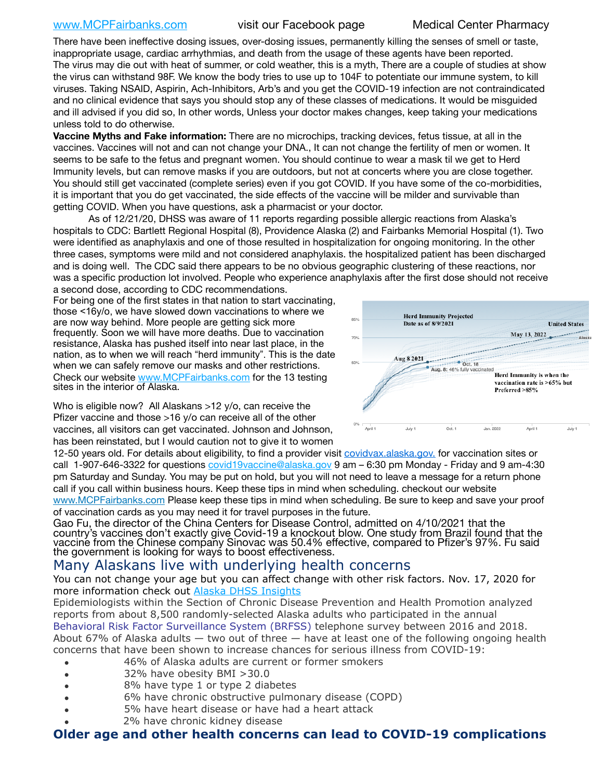### [www.MCPFairbanks.com](http://www.MCPFairbanks.com) visit our Facebook page Medical Center Pharmacy

There have been ineffective dosing issues, over-dosing issues, permanently killing the senses of smell or taste, inappropriate usage, cardiac arrhythmias, and death from the usage of these agents have been reported. The virus may die out with heat of summer, or cold weather, this is a myth, There are a couple of studies at show the virus can withstand 98F. We know the body tries to use up to 104F to potentiate our immune system, to kill viruses. Taking NSAID, Aspirin, Ach-Inhibitors, Arb's and you get the COVID-19 infection are not contraindicated and no clinical evidence that says you should stop any of these classes of medications. It would be misguided and ill advised if you did so, In other words, Unless your doctor makes changes, keep taking your medications unless told to do otherwise.

**Vaccine Myths and Fake information:** There are no microchips, tracking devices, fetus tissue, at all in the vaccines. Vaccines will not and can not change your DNA., It can not change the fertility of men or women. It seems to be safe to the fetus and pregnant women. You should continue to wear a mask til we get to Herd Immunity levels, but can remove masks if you are outdoors, but not at concerts where you are close together. You should still get vaccinated (complete series) even if you got COVID. If you have some of the co-morbidities, it is important that you do get vaccinated, the side effects of the vaccine will be milder and survivable than getting COVID. When you have questions, ask a pharmacist or your doctor.

As of 12/21/20, DHSS was aware of 11 reports regarding possible allergic reactions from Alaska's hospitals to CDC: Bartlett Regional Hospital (8), Providence Alaska (2) and Fairbanks Memorial Hospital (1). Two were identified as anaphylaxis and one of those resulted in hospitalization for ongoing monitoring. In the other three cases, symptoms were mild and not considered anaphylaxis. the hospitalized patient has been discharged and is doing well. The CDC said there appears to be no obvious geographic clustering of these reactions, nor was a specific production lot involved. People who experience anaphylaxis after the first dose should not receive

a second dose, according to CDC recommendations. For being one of the first states in that nation to start vaccinating, those <16y/o, we have slowed down vaccinations to where we are now way behind. More people are getting sick more frequently. Soon we will have more deaths. Due to vaccination resistance, Alaska has pushed itself into near last place, in the nation, as to when we will reach "herd immunity". This is the date when we can safely remove our masks and other restrictions. Check our website [www.MCPFairbanks.com](http://www.MCPFairbanks.com) for the 13 testing sites in the interior of Alaska.

Who is eligible now? All Alaskans >12 y/o, can receive the Pfizer vaccine and those >16 y/o can receive all of the other vaccines, all visitors can get vaccinated. Johnson and Johnson, has been reinstated, but I would caution not to give it to women



12-50 years old. For details about eligibility, to find a provider visit [covidvax.alaska.gov.](https://lnks.gd/l/eyJhbGciOiJIUzI1NiJ9.eyJidWxsZXRpbl9saW5rX2lkIjoxMDYsInVyaSI6ImJwMjpjbGljayIsImJ1bGxldGluX2lkIjoiMjAyMTAxMjguMzQwODU3NjEiLCJ1cmwiOiJodHRwOi8vZGhzcy5hbGFza2EuZ292L2RwaC9FcGkvaWQvUGFnZXMvQ09WSUQtMTkvdmFjY2luZS5hc3B4In0.-Xwhl42jAWOMS7ewfS85uxwrwjohCso3Sb81DuDKtxU/s/500544915/br/93796640171-l) for vaccination sites or call 1-907-646-3322 for questions [covid19vaccine@alaska.gov](mailto:covid19vaccine@alaska.gov?subject=COVID19%20Vaccine%20questions) 9 am – 6:30 pm Monday - Friday and 9 am-4:30 pm Saturday and Sunday. You may be put on hold, but you will not need to leave a message for a return phone call if you call within business hours. Keep these tips in mind when scheduling. checkout our website [www.MCPFairbanks.com](http://www.MCPFairbanks.com) Please keep these tips in mind when scheduling. Be sure to keep and save your proof of vaccination cards as you may need it for travel purposes in the future.

Gao Fu, the director of the China Centers for Disease Control, admitted on 4/10/2021 that the country's vaccines don't exactly give Covid-19 a knockout blow. One study from Brazil found that the vaccine from the Chinese company Sinovac was 50.4% effective, compared to Pfizer's 97%. Fu said the government is looking for ways to boost effectiveness.

# Many Alaskans live with underlying health concerns

You can not change your age but you can affect change with other risk factors. Nov. 17, 2020 for more information check out [Alaska DHSS Insights](http://dhss.alaska.gov/dph/Epi/id/Pages/COVID-19/blog/20201117.aspx)

Epidemiologists within the Section of Chronic Disease Prevention and Health Promotion analyzed reports from about 8,500 randomly-selected Alaska adults who participated in the annual [Behavioral Risk Factor Surveillance System \(BRFSS\)](http://dhss.alaska.gov/dph/Chronic/Pages/brfss/default.aspx) telephone survey between 2016 and 2018. About 67% of Alaska adults — two out of three — have at least one of the following ongoing health concerns that have been shown to increase chances for serious illness from COVID-19:

- 46% of Alaska adults are current or former smokers
- 32% have obesity BMI >30.0
- 8% have type 1 or type 2 diabetes
- 6% have chronic obstructive pulmonary disease (COPD)
- 5% have heart disease or have had a heart attack
- 2% have chronic kidney disease

# **Older age and other health concerns can lead to COVID-19 complications**